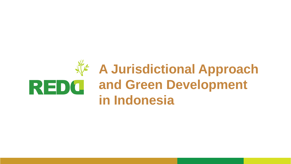# **A Jurisdictional Approach**  REDC **and Green Development in Indonesia**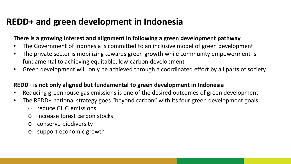### **REDD+ and green development in Indonesia**

#### **There is a growing interest and alignment in following a green development pathway**

- The Government of Indonesia is committed to an inclusive model of green development
- The private sector is mobilizing towards green growth while community empowerment is fundamental to achieving equitable, low-carbon development
- Green development will only be achieved through a coordinated effort by all parts of society

#### **REDD+ is not only aligned but fundamental to green development in Indonesia**

- Reducing greenhouse gas emissions is one of the desired outcomes of green development
- The REDD+ national strategy goes "beyond carbon" with its four green development goals:
	- o reduce GHG emissions
	- o increase forest carbon stocks
	- o conserve biodiversity
	- o support economic growth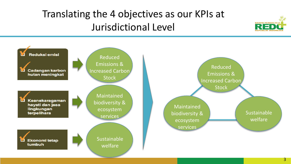# Translating the 4 objectives as our KPIs at Jurisdictional Level



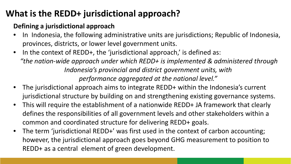## **What is the REDD+ jurisdictional approach?**

### **Defining a jurisdictional approach**

- In Indonesia, the following administrative units are jurisdictions; Republic of Indonesia, provinces, districts, or lower level government units.
- In the context of REDD+, the 'jurisdictional approach,' is defined as: *"the nation-wide approach under which REDD+ is implemented & administered through Indonesia's provincial and district government units, with performance aggregated at the national level."*
- The jurisdictional approach aims to integrate REDD+ within the Indonesia's current jurisdictional structure by building on and strengthening existing governance systems.
- This will require the establishment of a nationwide REDD+ JA framework that clearly defines the responsibilities of all government levels and other stakeholders within a common and coordinated structure for delivering REDD+ goals.
- The term 'jurisdictional REDD+' was first used in the context of carbon accounting; however, the jurisdictional approach goes beyond GHG measurement to position to REDD+ as a central element of green development.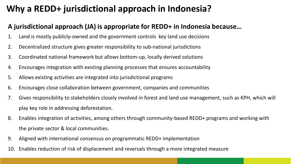## **Why a REDD+ jurisdictional approach in Indonesia?**

### **A jurisdictional approach (JA) is appropriate for REDD+ in Indonesia because…**

- 1. Land is mostly publicly-owned and the government controls key land use decisions
- 2. Decentralized structure gives greater responsibility to sub-national jurisdictions
- 3. Coordinated national framework but allows bottom-up, locally derived solutions
- 4. Encourages integration with existing planning processes that ensures accountability
- 5. Allows existing activities are integrated into jurisdictional programs
- 6. Encourages close collaboration between government, companies and communities
- 7. Gives responsibility to stakeholders closely involved in forest and land use management, such as KPH, which will play key role in addressing deforestation.
- 8. Enables integration of activities, among others through community-based REDD+ programs and working with the private sector & local communities.
- 9. Aligned with international consensus on programmatic REDD+ implementation
- 10. Enables reduction of risk of displacement and reversals through a more integrated measure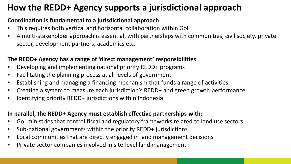## **How the REDD+ Agency supports a jurisdictional approach**

#### **Coordination is fundamental to a jurisdictional approach**

- This requires both vertical and horizontal collaboration within GoI
- A multi-stakeholder approach is essential, with partnerships with communities, civil society, private sector, development partners, academics etc.

### **The REDD+ Agency has a range of 'direct management' responsibilities**

- Developing and implementing national priority REDD+ programs
- Facilitating the planning process at all levels of government
- Establishing and managing a financing mechanism that funds a range of activities
- Creating a system to measure each jurisdiction's REDD+ and green growth performance
- Identifying priority REDD+ jurisdictions within Indonesia

#### **In parallel, the REDD+ Agency must establish effective partnerships with:**

- GoI ministries that control fiscal and regulatory frameworks related to land use sectors
- Sub-national governments within the priority REDD+ jurisdictions
- Local communities that are directly engaged in land management decisions
- Private sector companies involved in site-level land management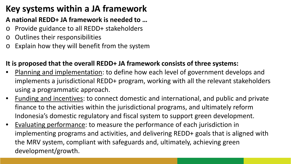## **Key systems within a JA framework**

### **A national REDD+ JA framework is needed to …**

- o Provide guidance to all REDD+ stakeholders
- o Outlines their responsibilities
- o Explain how they will benefit from the system

### **It is proposed that the overall REDD+ JA framework consists of three systems:**

- Planning and implementation: to define how each level of government develops and implements a jurisdictional REDD+ program, working with all the relevant stakeholders using a programmatic approach.
- Funding and incentives: to connect domestic and international, and public and private finance to the activities within the jurisdictional programs, and ultimately reform Indonesia's domestic regulatory and fiscal system to support green development.
- Evaluating performance: to measure the performance of each jurisdiction in implementing programs and activities, and delivering REDD+ goals that is aligned with the MRV system, compliant with safeguards and, ultimately, achieving green development/growth.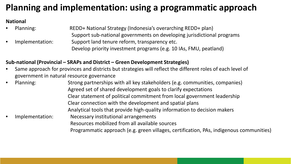## **Planning and implementation: using a programmatic approach**

#### **National**

• Planning: REDD+ National Strategy (Indonesia's overarching REDD+ plan) Support sub-national governments on developing jurisdictional programs Implementation: Support land tenure reform, transparency etc. Develop priority investment programs (e.g. 10 IAs, FMU, peatland)

#### **Sub-national (Provincial – SRAPs and District – Green Development Strategies)**

- Same approach for provinces and districts but strategies will reflect the different roles of each level of government in natural resource governance
- Planning: Strong partnerships with all key stakeholders (e.g. communities, companies) Agreed set of shared development goals to clarify expectations Clear statement of political commitment from local government leadership Clear connection with the development and spatial plans Analytical tools that provide high-quality information to decision makers • Implementation: Necessary institutional arrangements Resources mobilized from all available sources Programmatic approach (e.g. green villages, certification, PAs, indigenous communities)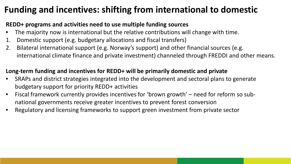## **Funding and incentives: shifting from international to domestic**

### **REDD+ programs and activities need to use multiple funding sources**

- The majority now is international but the relative contributions will change with time.
- 1. Domestic support (e.g. budgetary allocations and fiscal transfers)
- 2. Bilateral international support (e.g. Norway's support) and other financial sources (e.g. international climate finance and private investment) channeled through FREDDI and other means.

### **Long-term funding and incentives for REDD+ will be primarily domestic and private**

- SRAPs and district strategies integrated into the development and sectoral plans to generate budgetary support for priority REDD+ activities
- Fiscal framework currently provides incentives for 'brown growth' need for reform so subnational governments receive greater incentives to prevent forest conversion
- Regulatory and licensing frameworks to support green investment from private sector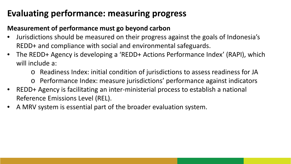## **Evaluating performance: measuring progress**

### **Measurement of performance must go beyond carbon**

- Jurisdictions should be measured on their progress against the goals of Indonesia's REDD+ and compliance with social and environmental safeguards.
- The REDD+ Agency is developing a 'REDD+ Actions Performance Index' (RAPI), which will include a:
	- o Readiness Index: initial condition of jurisdictions to assess readiness for JA
	- o Performance Index: measure jurisdictions' performance against indicators
- REDD+ Agency is facilitating an inter-ministerial process to establish a national Reference Emissions Level (REL).
- A MRV system is essential part of the broader evaluation system.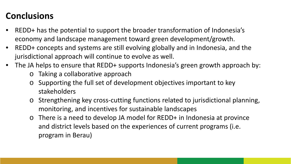## **Conclusions**

- REDD+ has the potential to support the broader transformation of Indonesia's economy and landscape management toward green development/growth.
- REDD+ concepts and systems are still evolving globally and in Indonesia, and the jurisdictional approach will continue to evolve as well.
- The JA helps to ensure that REDD+ supports Indonesia's green growth approach by:
	- o Taking a collaborative approach
	- o Supporting the full set of development objectives important to key stakeholders
	- o Strengthening key cross-cutting functions related to jurisdictional planning, monitoring, and incentives for sustainable landscapes
	- o There is a need to develop JA model for REDD+ in Indonesia at province and district levels based on the experiences of current programs (i.e. program in Berau)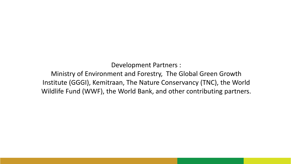Development Partners :

### Ministry of Environment and Forestry, The Global Green Growth Institute (GGGI), Kemitraan, The Nature Conservancy (TNC), the World Wildlife Fund (WWF), the World Bank, and other contributing partners.